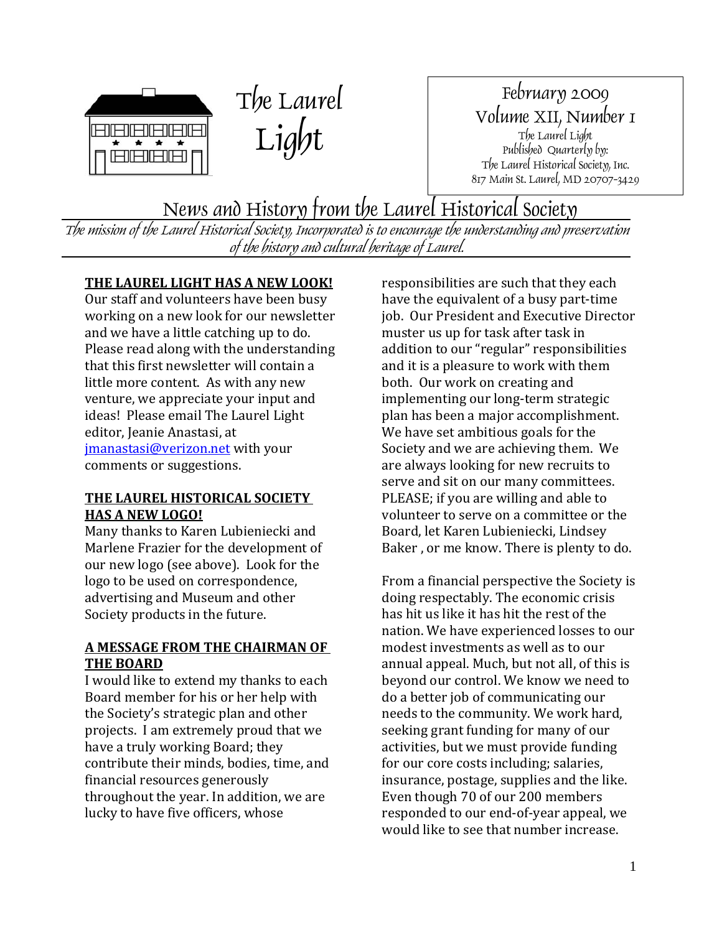



February 2009 Volume XII, Number 1 The Laurel Light Published Quarterly by: The Laurel Historical Society, Inc. 817 Main St. Laurel, MD 20707-3429

News and History from the Laurel Historical Society

The mission of the Laurel Historical Society, Incorporated is to encourage the understanding and preservation of the history and cultural heritage of Laurel.

# **THE LAUREL LIGHT HAS A NEW LOOK!**

Our staff and volunteers have been busy working on a new look for our newsletter and we have a little catching up to do. Please read along with the understanding that this first newsletter will contain a little more content. As with any new venture, we appreciate your input and ideas! Please email The Laurel Light editor, Jeanie Anastasi, at j[manastasi@verizon.net with your](mailto:jmanastasi@verizon.net)  comments or suggestions.

# **THE LAUREL HISTORICAL SOCIETY HAS A NEW LOGO!**

Many thanks to Karen Lubieniecki and Marlene Frazier for the development of our new logo (see above). Look for the logo to be used on correspondence, advertising and Museum and other Society products in the future.

# **A MESSAGE FROM THE CHAIRMAN OF THE BOARD**

I would like to extend my thanks to each Board member for his or her help with the Society's strategic plan and other projects. I am extremely proud that we have a truly working Board; they contribute their minds, bodies, time, and financial resources generously throughout the year. In addition, we are lucky to have five officers, whose

responsibilities are such that they each have the equivalent of a busy part‐time job. Our President and Executive Director muster us up for task after task in addition to our "regular" responsibilities and it is a pleasure to work with them both. Our work on creating and implementing our long‐term strategic plan has been a major accomplishment. We have set ambitious goals for the Society and we are achieving them. We are always looking for new recruits to serve and sit on our many committees. PLEASE; if you are willing and able to volunteer to serve on a committee or the Board, let Karen Lubieniecki, Lindsey Baker , or me know. There is plenty to do.

From a financial perspective the Society is doing respectably. The economic crisis has hit us like it has hit the rest of the nation. We have experienced losses to our modest investments as well as to our annual appeal. Much, but not all, of this is beyond our control. We know we need to do a better job of communicating our needs to the community. We work hard, seeking grant funding for many of our activities, but we must provide funding for our core costs including; salaries, insurance, postage, supplies and the like. Even though 70 of our 200 members responded to our end‐of‐year appeal, we would like to see that number increase.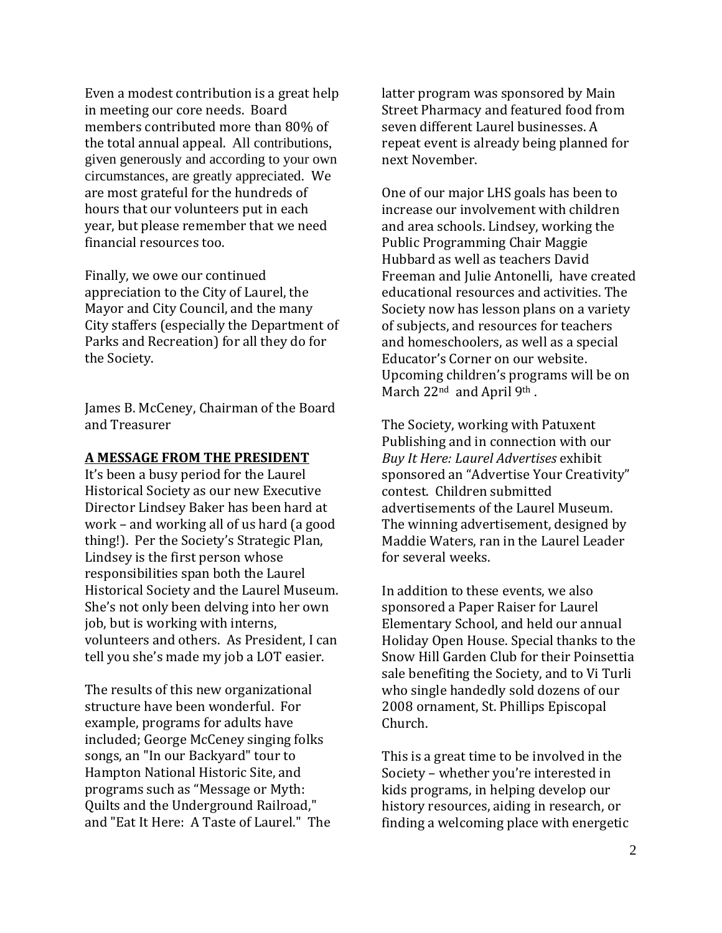Even a modest contribution is a great help in meeting our core needs. Board members contributed more than 80% of the total annual appeal. All contributions, given generously and according to your own circumstances, are greatly appreciated. We are most grateful for the hundreds of hours that our volunteers put in each year, but please remember that we need financial resources too.

Finally, we owe our continued appreciation to the City of Laurel, the Mayor and City Council, and the many City staffers (especially the Department of Parks and Recreation) for all they do for the Society.

James B. McCeney, Chairman of the Board and Treasurer

## **A MESSAGE FROM THE PRESIDENT**

It's been a busy period for the Laurel Historical Society as our new Executive Director Lindsey Baker has been hard at work – and working all of us hard (a good thing!). Per the Society's Strategic Plan, Lindsey is the first person whose responsibilities span both the Laurel Historical Society and the Laurel Museum. She's not only been delving into her own job, but is working with interns, volunteers and others. As President, I can tell you she's made my job a LOT easier.

The results of this new organizational structure have been wonderful. For example, programs for adults have included; George McCeney singing folks songs, an "In our Backyard" tour to Hampton National Historic Site, and programs such as "Message or Myth: Quilts and the Underground Railroad," and "Eat It Here: A Taste of Laurel." The latter program was sponsored by Main Street Pharmacy and featured food from seven different Laurel businesses. A repeat event is already being planned for next November.

One of our major LHS goals has been to increase our involvement with children and area schools. Lindsey, working the Public Programming Chair Maggie Hubbard as well as teachers David Freeman and Julie Antonelli, have created educational resources and activities. The Society now has lesson plans on a variety of subjects, and resources for teachers and homeschoolers, as well as a special Educator's Corner on our website. Upcoming children's programs will be on March 22<sup>nd</sup> and April 9<sup>th</sup>.

The Society, working with Patuxent Publishing and in connection with our *Buy It Here: Laurel Advertises* exhibit sponsored an "Advertise Your Creativity" contest. Children submitted advertisements of the Laurel Museum. The winning advertisement, designed by Maddie Waters, ran in the Laurel Leader for several weeks.

In addition to these events, we also sponsored a Paper Raiser for Laurel Elementary School, and held our annual Holiday Open House. Special thanks to the Snow Hill Garden Club for their Poinsettia sale benefiting the Society, and to Vi Turli who single handedly sold dozens of our 2008 ornament, St. Phillips Episcopal Church.

This is a great time to be involved in the Society – whether you're interested in kids programs, in helping develop our history resources, aiding in research, or finding a welcoming place with energetic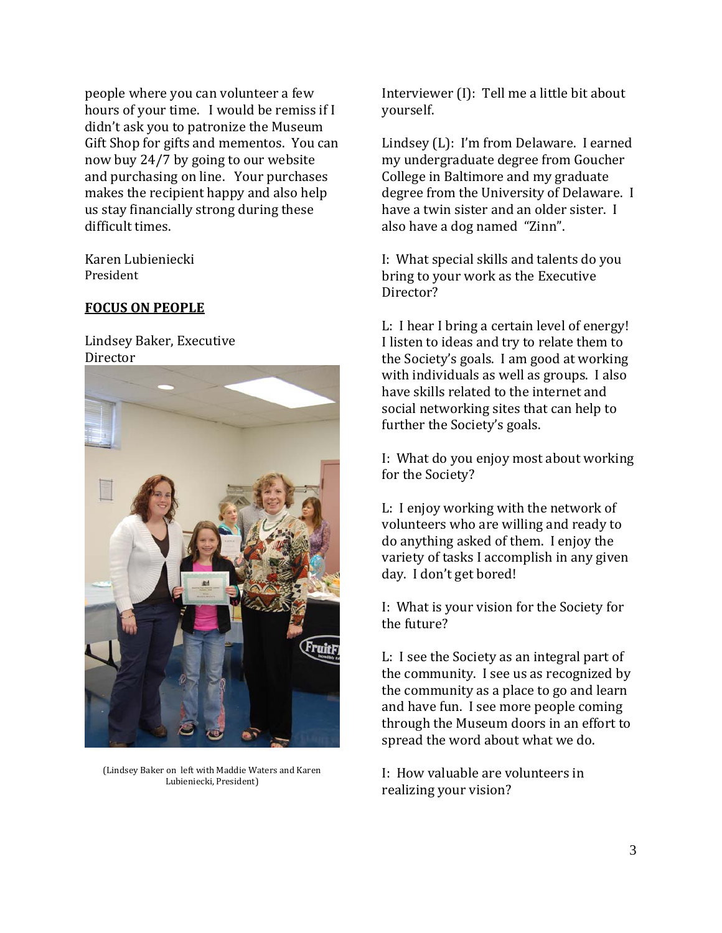people where you can volunteer a few hours of your time. I would be remiss if I didn't ask you to patronize the Museum Gift Shop for gifts and mementos. You can now buy 24/7 by going to our website and purchasing on line. Your purchases makes the recipient happy and also help us stay financially strong during these difficult times.

Karen Lubieniecki President

# **FOCUS ON PEOPLE**

Lindsey Baker, Executive Director



(Lindsey Baker on left with Maddie Waters and Karen Lubieniecki, President)

Interviewer (I): Tell me a little bit about yourself.

Lindsey (L): I'm from Delaware. I earned my undergraduate degree from Goucher College in Baltimore and my graduate degree from the University of Delaware. I have a twin sister and an older sister. I also have a dog named "Zinn".

I: What special skills and talents do you bring to your work as the Executive Director?

L: I hear I bring a certain level of energy! I listen to ideas and try to relate them to the Society's goals. I am good at working with individuals as well as groups. I also have skills related to the internet and social networking sites that can help to further the Society's goals.

I: What do you enjoy most about working for the Society?

L: I enjoy working with the network of volunteers who are willing and ready to do anything asked of them. I enjoy the variety of tasks I accomplish in any given day. I don't get bored!

I: What is your vision for the Society for the future?

L: I see the Society as an integral part of the community. I see us as recognized by the community as a place to go and learn and have fun. I see more people coming through the Museum doors in an effort to . spread the word about what we do

: How valuable are volunteers in I realizing your vision?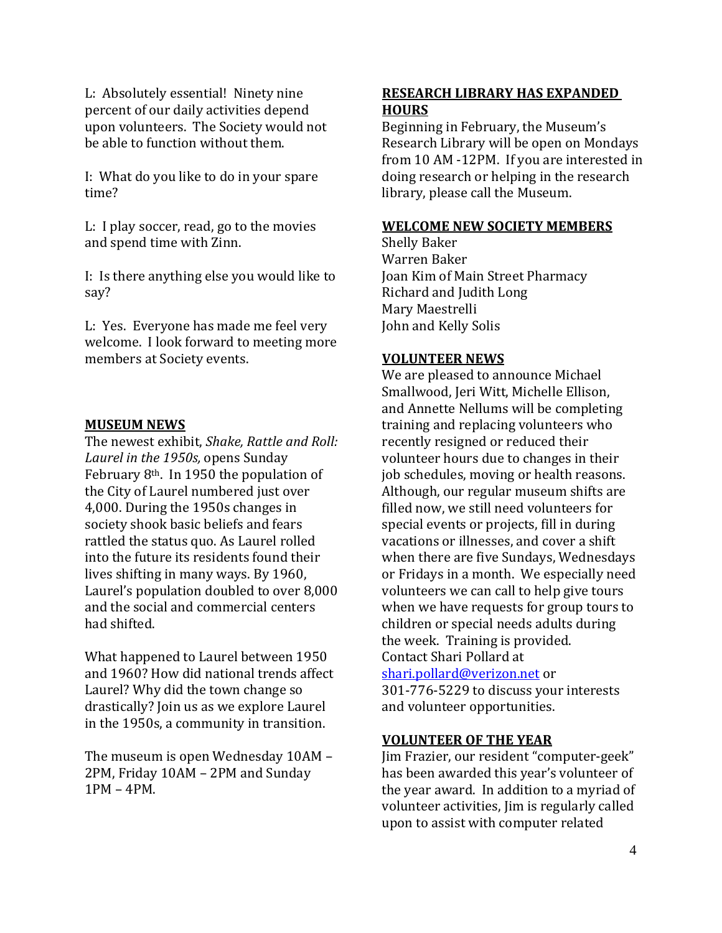L: Absolutely essential! Ninety nine percent of our daily activities depend upon volunteers. The Society would not be able to function without them.

I: What do you like to do in your spare time?

L: I play soccer, read, go to the movies and spend time with Zinn.

I: Is there anything else you would like to say?

L: Yes. Everyone has made me feel very welcome. I look forward to meeting more members at Society events.

# **MUSEUM NEWS**

The newest exhibit, *Shake, Rattle and Roll: Laurel in the 1950s,* opens Sunday February 8th. In 1950 the population of the City of Laurel numbered just over 4,000. During the 1950s changes in society shook basic beliefs and fears rattled the status quo. As Laurel rolled into the future its residents found their lives shifting in many ways. By 1960, Laurel's population doubled to over 8,000 and the social and commercial centers had shifted.

What happened to Laurel between 1950 and 1960? How did national trends affect Laurel? Why did the town change so drastically? Join us as we explore Laurel in the 1950s, a community in transition.

The museum is open Wednesday 10AM – 2PM, Friday 10AM – 2PM and Sunday 1PM – 4PM.

# **RESEARCH LIBRARY HAS EXPANDED HOURS**

Beginning in February, the Museum's Research Library will be open on Mondays from 10 AM -12PM. If you are interested in doing research or helping in the research library, please call the Museum.

## **WELCOME NEW SOCIETY MEMBERS**

Shelly Baker Joan Kim of Main Street Pharmacy Warren Baker Richard and Judith Long Mary Maestrelli John and Kelly Solis

# **VOLUNTEER NEWS**

We are pleased to announce Michael and Annette Nellums will be completing Smallwood, Jeri Witt, Michelle Ellison, training and replacing volunteers who recently resigned or reduced their volunteer hours due to changes in their job schedules, moving or health reasons. Although, our regular museum shifts are filled now, we still need volunteers for special events or projects, fill in during vacations or illnesses, and cover a shift when there are five Sundays, Wednesdays or Fridays in a month. We especially need volunteers we can call to help give tours when we have requests for group tours to children or special needs adults during . the week. Training is provided Contact Shari Pollard at shari.pollard@verizon.net or

301‐776‐5229 to discuss you r interests and volunteer opportunities.

# **VOLUNTEER OF THE YEAR**

Jim Frazier, our resident "computer‐geek" has been awarded this year's volunteer of the year award. In addition to a myriad of volunteer activities, Jim is regularly called upon to assist with computer related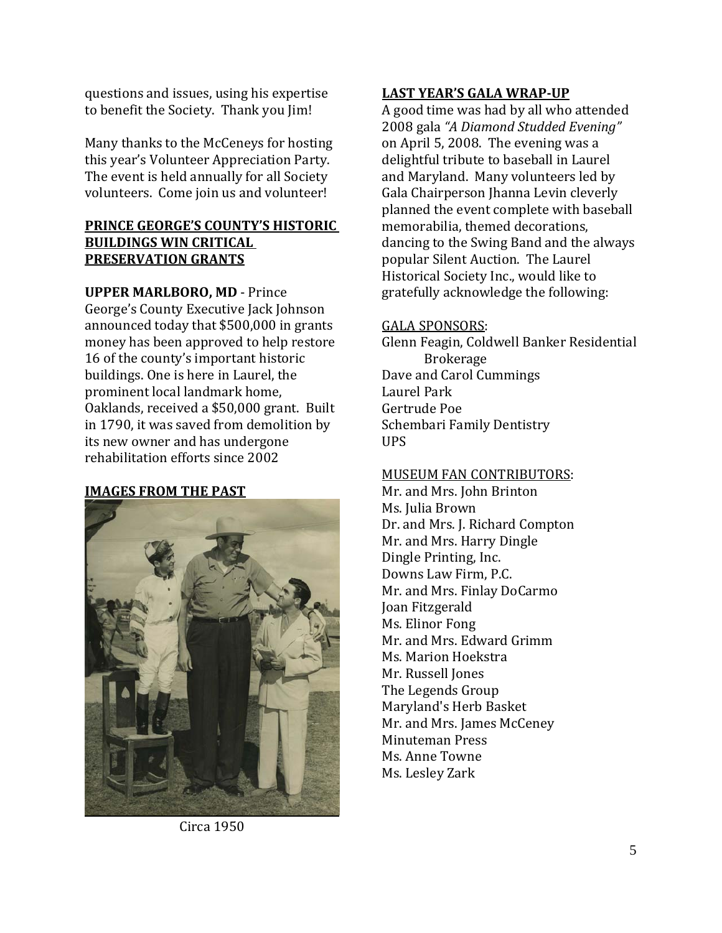questions and issues, using his expertise to benefit the Society. Thank you Jim!

Many thanks to the McCeneys for hosting this year's Volunteer Appreciation Party. The event is held annually for all Society volunteers. Come join us and volunteer!

# **PRINCE GEORGE'S COUNTY'S HISTORIC BUILDINGS WIN CRITICAL PRESERVATION GRANTS**

**UPPER MARLBORO, MD** ‐ Prince George's County Executive Jack Johnson announced today that \$500,000 in grants money has been approved to help restore 16 of the county's important historic buildings. One is here in Laurel, the prominent local landmark home, Oaklands, received a \$50,000 grant. Built in 1790, it was saved from demolition by its new owner and has undergone rehabilitation efforts since 2002

# **IMAGES FROM THE PAST**



Circa 1950

# **LAST YEAR'S GALA WRAPUP**

A good time was had by all who attended 2008 gala *"A Diamond Studded Evening"* on April 5, 2008. The evening was a delightful tribute to baseball in Laurel and Maryland. Many volunteers led by Gala Chairperson Jhanna Levin cleverly planned the event complete with baseball dancing to the Swing Band and the always memorabilia, themed decorations, popular Silent Auction. The Laurel Historical Society Inc., would like to gratefully acknowledge the following:

## GALA SPONSORS:

Glenn Feagin, Coldwell Ban ker Residential **Brokerage** Dave and Carol Cummings Laurel Park Gertrude Poe Schembari Family Dentistry UPS

# MUSEUM FAN CONTRIBUTORS:

Mr. and Mrs. John Brinton Dr. and Mrs. J. Richard Compton Ms. Julia Brown Mr. and Mrs. Harry Dingle Dingle Printing, Inc. Downs Law Firm, P.C. Mr. and Mrs. Finlay DoCarmo Joan Fitzgerald Mr. and Mrs. Edward Grimm Ms. Elinor Fong Ms. Marion Hoekstra Mr. Russell Jones The Legends Group Maryland's Herb Basket Mr. and Mrs. James McCeney Minuteman Press Ms. Anne Towne Ms. Lesley Zark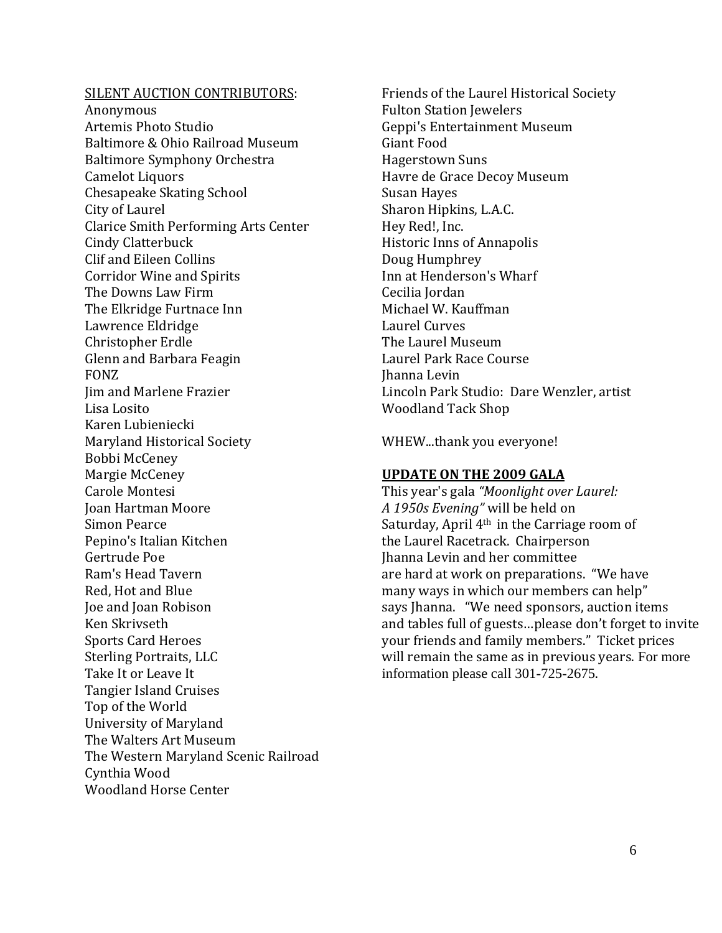## SILENT AUCTION CONTRIBUTORS:

Anonymous Baltimore & Ohio Railroad Museum Artemis Photo Studio Baltimore Symphony Orchestra Camelot Liquors Chesapeake Skating School Clarice Smith Performing Arts Center City of Laurel Cindy Clatterbuck Clif and Eileen Collins Corridor Wine and Spirits The Downs Law Firm The Elkridge Furtnace Inn Lawrence Eldridge Christopher Erdle Glenn and Barbara Feagin Jim and Marlene Frazier FONZ Lisa Losito Karen Lubieniecki Maryland Historical Society Bobbi McCeney Margie McCeney Carole Montesi Joan Hartman Moore Pepino's Italian Kitchen Simon Pearce Gertrude Poe Ram's Head Tavern Red, Hot and Blue Joe and Joan Robison Ken Skrivseth Sports Card Heroes Sterling Portraits, LLC Take It or Leave It Tangier Island Cruises Top of the World University of Maryland The Walters Art Museum The Western Maryland Scenic Railroad Cynthia Wood Woodland Horse Center

Friends of the Laurel Historical S ociety Fulton Station Jewelers Geppi's Entertainment Museum Giant Food Hagerstown Suns Havre de Grace Decoy Museum Susan Hayes Sharon Hipkins, L.A.C. Hey Red!, Inc. Historic Inns of Annapolis Doug Humphrey Inn at Henderson's Wharf Cecilia Jordan Michael W. Kauffman Laurel Curves The Laurel Museum Laurel Park Race Course Lincoln Park Studio: Dare Wenzler, artist Jhanna Levin Woodland Tack Shop

WHEW...thank you everyone!

## **UPDATE ON THE 2009 GALA**

This year's gala *"Moonlight over Laurel:* Saturday, April 4<sup>th</sup> in the Carriage room of *A 1950s Evening"* will be held on the Laurel Racetrack. Chairperson Jhanna Levin and her committee are hard at work on preparations. "We have many ways in which our members can help" and tables full of guests...please don't forget to invite says Jhanna. "We need sponsors, auction items your friends and family members." Ticket prices will remain the same as in previous years. For more information please call 301-725-2675.